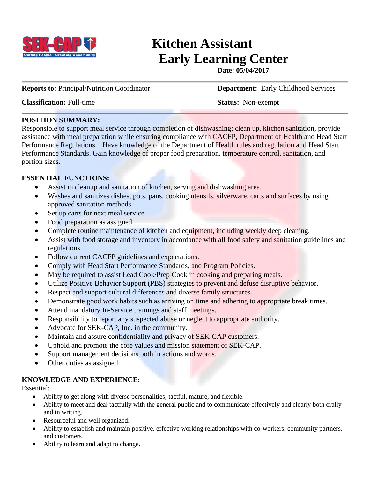

# **Kitchen Assistant Early Learning Center**

**Date: 05/04/2017**

**Reports to: Principal/Nutrition Coordinator <b>Department:** Early Childhood Services

**Classification:** Full-time **Status:** Non-exempt

## **POSITION SUMMARY:**

Responsible to support meal service through completion of dishwashing; clean up, kitchen sanitation, provide assistance with meal preparation while ensuring compliance with CACFP, Department of Health and Head Start Performance Regulations. Have knowledge of the Department of Health rules and regulation and Head Start Performance Standards. Gain knowledge of proper food preparation, temperature control, sanitation, and portion sizes.

# **ESSENTIAL FUNCTIONS:**

- Assist in cleanup and sanitation of kitchen, serving and dishwashing area.
- Washes and sanitizes dishes, pots, pans, cooking utensils, silverware, carts and surfaces by using approved sanitation methods.
- Set up carts for next meal service.
- Food preparation as assigned
- Complete routine maintenance of kitchen and equipment, including weekly deep cleaning.
- Assist with food storage and inventory in accordance with all food safety and sanitation guidelines and regulations.
- Follow current CACFP guidelines and expectations.
- Comply with Head Start Performance Standards, and Program Policies.
- May be required to assist Lead Cook/Prep Cook in cooking and preparing meals.
- Utilize Positive Behavior Support (PBS) strategies to prevent and defuse disruptive behavior.
- Respect and support cultural differences and diverse family structures.
- Demonstrate good work habits such as arriving on time and adhering to appropriate break times.
- Attend mandatory In-Service trainings and staff meetings.
- Responsibility to report any suspected abuse or neglect to appropriate authority.
- Advocate for SEK-CAP, Inc. in the community.
- Maintain and assure confidentiality and privacy of SEK-CAP customers.
- Uphold and promote the core values and mission statement of SEK-CAP.
- Support management decisions both in actions and words.
- Other duties as assigned.

# **KNOWLEDGE AND EXPERIENCE:**

Essential:

- Ability to get along with diverse personalities; tactful, mature, and flexible.
- Ability to meet and deal tactfully with the general public and to communicate effectively and clearly both orally and in writing.
- Resourceful and well organized.
- Ability to establish and maintain positive, effective working relationships with co-workers, community partners, and customers.
- Ability to learn and adapt to change.